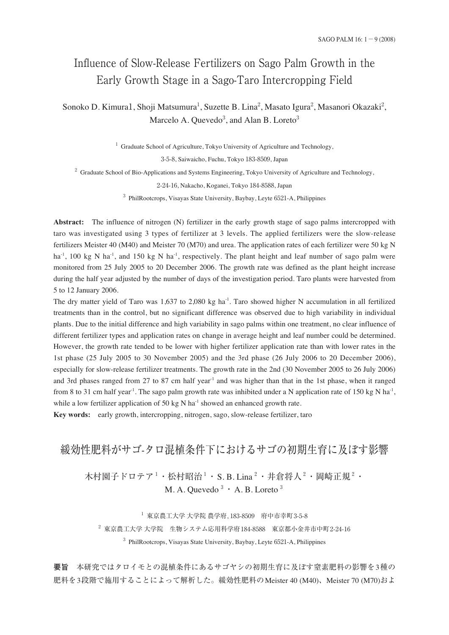# Influence of Slow-Release Fertilizers on Sago Palm Growth in the Early Growth Stage in a Sago-Taro Intercropping Field

Sonoko D. Kimura1, Shoji Matsumura<sup>1</sup>, Suzette B. Lina<sup>2</sup>, Masato Igura<sup>2</sup>, Masanori Okazaki<sup>2</sup>, Marcelo A. Quevedo<sup>3</sup>, and Alan B. Loreto<sup>3</sup>

<sup>1</sup> Graduate School of Agriculture, Tokyo University of Agriculture and Technology,

3-5-8, Saiwaicho, Fuchu, Tokyo 183-8509, Japan

<sup>2</sup> Graduate School of Bio-Applications and Systems Engineering, Tokyo University of Agriculture and Technology,

2-24-16, Nakacho, Koganei, Tokyo 184-8588, Japan

<sup>3</sup> PhilRootcrops, Visayas State University, Baybay, Leyte 6521-A, Philippines

**Abstract:** The influence of nitrogen (N) fertilizer in the early growth stage of sago palms intercropped with taro was investigated using 3 types of fertilizer at 3 levels. The applied fertilizers were the slow-release fertilizers Meister 40 (M40) and Meister 70 (M70) and urea. The application rates of each fertilizer were 50 kg N ha<sup>-1</sup>, 100 kg N ha<sup>-1</sup>, and 150 kg N ha<sup>-1</sup>, respectively. The plant height and leaf number of sago palm were monitored from 25 July 2005 to 20 December 2006. The growth rate was defined as the plant height increase during the half year adjusted by the number of days of the investigation period. Taro plants were harvested from 5 to 12 January 2006.

The dry matter yield of Taro was 1,637 to 2,080 kg ha<sup>-1</sup>. Taro showed higher N accumulation in all fertilized treatments than in the control, but no significant difference was observed due to high variability in individual plants. Due to the initial difference and high variability in sago palms within one treatment, no clear influence of different fertilizer types and application rates on change in average height and leaf number could be determined. However, the growth rate tended to be lower with higher fertilizer application rate than with lower rates in the 1st phase (25 July 2005 to 30 November 2005) and the 3rd phase (26 July 2006 to 20 December 2006), especially for slow-release fertilizer treatments. The growth rate in the 2nd (30 November 2005 to 26 July 2006) and 3rd phases ranged from 27 to 87 cm half year<sup>-1</sup> and was higher than that in the 1st phase, when it ranged from 8 to 31 cm half year<sup>-1</sup>. The sago palm growth rate was inhibited under a N application rate of 150 kg N ha<sup>-1</sup>, while a low fertilizer application of 50 kg N ha $^{-1}$  showed an enhanced growth rate.

**Key words:** early growth, intercropping, nitrogen, sago, slow-release fertilizer, taro

## 緩効性肥料がサゴ-タロ混植条件下におけるサゴの初期生育に及ぼす影響

木村園子ドロテア<sup>1</sup>・松村昭治<sup>1</sup>・S. B. Lina<sup>2</sup>・井倉将人<sup>2</sup>・岡崎正規<sup>2</sup>・ M. A. Quevedo $3 \cdot A$ . B. Loreto $3$ 

 $^{-1}$  東京農工大学 大学院 農学府, 183-8509 府中市幸町3-5-8

 $2\ \overline{}$ 東京農工大学 大学院 生物システム応用科学府184-8588 東京都小金井市中町2-24-16 <sup>3</sup> PhilRootcrops, Visayas State University, Baybay, Leyte 6521-A, Philippines

**要旨** 本研究ではタロイモとの混植条件にあるサゴヤシの初期生育に及ぼす窒素肥料の影響を3種の 肥料を3段階で施用することによって解析した。緩効性肥料のMeister 40 (M40)、Meister 70 (M70)およ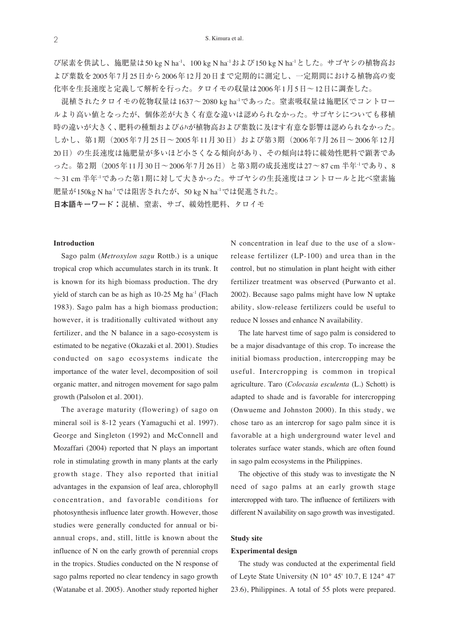び尿素を供試し、施肥量は50 kg N ha-1、100 kg N ha-1および150 kg N ha-1とした。サゴヤシの植物高お よび葉数を2005年7月25日から2006年12月20日まで定期的に測定し、一定期間における植物高の変 化率を生長速度と定義して解析を行った。タロイモの収量は2006年1月5日〜12日に調査した。

混植されたタロイモの乾物収量は1637~2080 kg ha<sup>-1</sup>であった。窒素吸収量は施肥区でコントロー ルより高い値となったが、個体差が大きく有意な違いは認められなかった。サゴヤシについても移植 時の違いが大きく、肥料の種類およびóハが植物高および葉数に及ぼす有意な影響は認められなかった。 しかし、第1期(2005年7月25日〜2005年11月30日)および第3期(2006年7月26日〜2006年12月 20日)の生長速度は施肥量が多いほど小さくなる傾向があり、その傾向は特に緩効性肥料で顕著であ った。第2期(2005年11月30日〜2006年7月26日)と第3期の成長速度は27〜87 cm 半年-1であり、8 〜31 cm 半年-1であった第1期に対して大きかった。サゴヤシの生長速度はコントロールと比べ窒素施 肥量が150kg N ha-1では阻害されたが、50 kg N ha-1では促進された。

**日本語キーワード:**混植、窒素、サゴ、緩効性肥料、タロイモ

### **Introduction**

Sago palm (*Metroxylon sagu* Rottb.) is a unique tropical crop which accumulates starch in its trunk. It is known for its high biomass production. The dry yield of starch can be as high as  $10-25$  Mg ha<sup>-1</sup> (Flach 1983). Sago palm has a high biomass production; however, it is traditionally cultivated without any fertilizer, and the N balance in a sago-ecosystem is estimated to be negative (Okazaki et al. 2001). Studies conducted on sago ecosystems indicate the importance of the water level, decomposition of soil organic matter, and nitrogen movement for sago palm growth (Palsolon et al. 2001).

The average maturity (flowering) of sago on mineral soil is 8-12 years (Yamaguchi et al. 1997). George and Singleton (1992) and McConnell and Mozaffari (2004) reported that N plays an important role in stimulating growth in many plants at the early growth stage. They also reported that initial advantages in the expansion of leaf area, chlorophyll concentration, and favorable conditions for photosynthesis influence later growth. However, those studies were generally conducted for annual or biannual crops, and, still, little is known about the influence of N on the early growth of perennial crops in the tropics. Studies conducted on the N response of sago palms reported no clear tendency in sago growth (Watanabe et al. 2005). Another study reported higher N concentration in leaf due to the use of a slowrelease fertilizer (LP-100) and urea than in the control, but no stimulation in plant height with either fertilizer treatment was observed (Purwanto et al. 2002). Because sago palms might have low N uptake ability, slow-release fertilizers could be useful to reduce N losses and enhance N availability.

The late harvest time of sago palm is considered to be a major disadvantage of this crop. To increase the initial biomass production, intercropping may be useful. Intercropping is common in tropical agriculture. Taro (*Colocasia esculenta* (L.) Schott) is adapted to shade and is favorable for intercropping (Onwueme and Johnston 2000). In this study, we chose taro as an intercrop for sago palm since it is favorable at a high underground water level and tolerates surface water stands, which are often found in sago palm ecosystems in the Philippines.

The objective of this study was to investigate the N need of sago palms at an early growth stage intercropped with taro. The influence of fertilizers with different N availability on sago growth was investigated.

### **Study site**

#### **Experimental design**

The study was conducted at the experimental field of Leyte State University (N 10° 45' 10.7, E 124° 47' 23.6), Philippines. A total of 55 plots were prepared.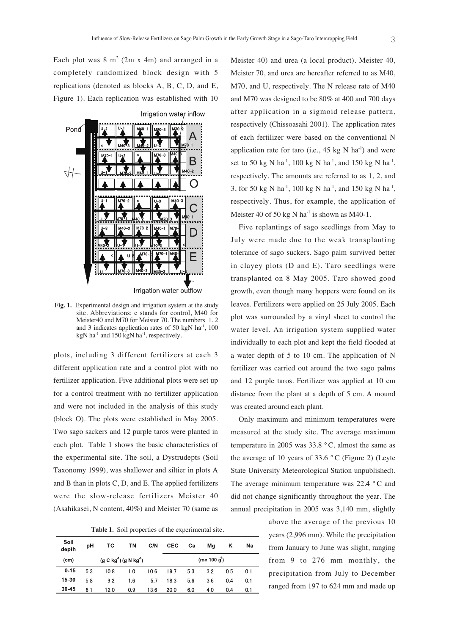Each plot was  $8 \text{ m}^2$  (2m x 4m) and arranged in a completely randomized block design with 5 replications (denoted as blocks A, B, C, D, and E, Figure 1). Each replication was established with 10



**Fig. 1.** Experimental design and irrigation system at the study site. Abbreviations: c stands for control, M40 for Meister40 and M70 for Meister 70. The numbers 1, 2 and 3 indicates application rates of  $50 \text{ kgN}$  ha<sup>-1</sup>, 100 kgN ha<sup>-1</sup> and 150 kgN ha<sup>-1</sup>, respectively.

plots, including 3 different fertilizers at each 3 different application rate and a control plot with no fertilizer application. Five additional plots were set up for a control treatment with no fertilizer application and were not included in the analysis of this study (block O). The plots were established in May 2005. Two sago sackers and 12 purple taros were planted in each plot. Table 1 shows the basic characteristics of the experimental site. The soil, a Dystrudepts (Soil Taxonomy 1999), was shallower and siltier in plots A and B than in plots C, D, and E. The applied fertilizers were the slow-release fertilizers Meister 40 (Asahikasei, N content, 40%) and Meister 70 (same as

**Table 1.** Soil properties of the experimental site.

| Soil<br>depth | рH                    | ТC   | ΤN  | C/N           | <b>CEC</b> | Ca  | Ma  | κ   | Na  |
|---------------|-----------------------|------|-----|---------------|------------|-----|-----|-----|-----|
| (cm)          | $(g C kg1) (g N kg1)$ |      |     | (me 100 $q$ ) |            |     |     |     |     |
| $0 - 15$      | 5.3                   | 10.8 | 1.0 | 10.6          | 19.7       | 5.3 | 3.2 | 0.5 | 0.1 |
| 15-30         | 5.8                   | 9.2  | 16  | 5.7           | 18.3       | 5.6 | 3.6 | 04  | 0.1 |
| 30-45         | 6.1                   | 12 0 | 0.9 | 13.6          | 20.0       | 6.0 | 4.0 | 0.4 | 0.1 |

Meister 40) and urea (a local product). Meister 40, Meister 70, and urea are hereafter referred to as M40, M70, and U, respectively. The N release rate of M40 and M70 was designed to be 80% at 400 and 700 days after application in a sigmoid release pattern, respectively (Chissoasahi 2001). The application rates of each fertilizer were based on the conventional N application rate for taro (i.e.,  $45 \text{ kg N}$  ha<sup>-1</sup>) and were set to 50 kg N ha<sup>-1</sup>, 100 kg N ha<sup>-1</sup>, and 150 kg N ha<sup>-1</sup>, respectively. The amounts are referred to as 1, 2, and 3, for 50 kg N ha<sup>-1</sup>, 100 kg N ha<sup>-1</sup>, and 150 kg N ha<sup>-1</sup>, respectively. Thus, for example, the application of Meister 40 of 50 kg N ha<sup>-1</sup> is shown as M40-1.

Five replantings of sago seedlings from May to July were made due to the weak transplanting tolerance of sago suckers. Sago palm survived better in clayey plots (D and E). Taro seedlings were transplanted on 8 May 2005. Taro showed good growth, even though many hoppers were found on its leaves. Fertilizers were applied on 25 July 2005. Each plot was surrounded by a vinyl sheet to control the water level. An irrigation system supplied water individually to each plot and kept the field flooded at a water depth of 5 to 10 cm. The application of N fertilizer was carried out around the two sago palms and 12 purple taros. Fertilizer was applied at 10 cm distance from the plant at a depth of 5 cm. A mound was created around each plant.

Only maximum and minimum temperatures were measured at the study site. The average maximum temperature in 2005 was 33.8 ° C, almost the same as the average of 10 years of 33.6  $\degree$ C (Figure 2) (Leyte State University Meteorological Station unpublished). The average minimum temperature was 22.4 ° C and did not change significantly throughout the year. The annual precipitation in 2005 was 3,140 mm, slightly

> above the average of the previous 10 years (2,996 mm). While the precipitation from January to June was slight, ranging from 9 to 276 mm monthly, the precipitation from July to December ranged from 197 to 624 mm and made up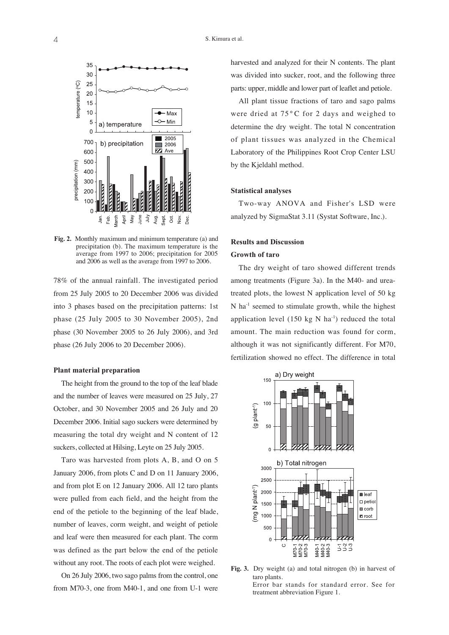

**Fig. 2.** Monthly maximum and minimum temperature (a) and precipitation (b). The maximum temperature is the average from 1997 to 2006; precipitation for 2005 and 2006 as well as the average from 1997 to 2006.

78% of the annual rainfall. The investigated period from 25 July 2005 to 20 December 2006 was divided into 3 phases based on the precipitation patterns: 1st phase (25 July 2005 to 30 November 2005), 2nd phase (30 November 2005 to 26 July 2006), and 3rd phase (26 July 2006 to 20 December 2006).

### **Plant material preparation**

The height from the ground to the top of the leaf blade and the number of leaves were measured on 25 July, 27 October, and 30 November 2005 and 26 July and 20 December 2006. Initial sago suckers were determined by measuring the total dry weight and N content of 12 suckers, collected at Hilsing, Leyte on 25 July 2005.

Taro was harvested from plots A, B, and O on 5 January 2006, from plots C and D on 11 January 2006, and from plot E on 12 January 2006. All 12 taro plants were pulled from each field, and the height from the end of the petiole to the beginning of the leaf blade, number of leaves, corm weight, and weight of petiole and leaf were then measured for each plant. The corm was defined as the part below the end of the petiole without any root. The roots of each plot were weighed.

On 26 July 2006, two sago palms from the control, one from M70-3, one from M40-1, and one from U-1 were

harvested and analyzed for their N contents. The plant was divided into sucker, root, and the following three parts: upper, middle and lower part of leaflet and petiole.

All plant tissue fractions of taro and sago palms were dried at 75 °C for 2 days and weighed to determine the dry weight. The total N concentration of plant tissues was analyzed in the Chemical Laboratory of the Philippines Root Crop Center LSU by the Kjeldahl method.

### **Statistical analyses**

Two-way ANOVA and Fisher's LSD were analyzed by SigmaStat 3.11 (Systat Software, Inc.).

### **Results and Discussion Growth of taro**

The dry weight of taro showed different trends among treatments (Figure 3a). In the M40- and ureatreated plots, the lowest N application level of 50 kg  $N$  ha<sup>-1</sup> seemed to stimulate growth, while the highest application level (150 kg N ha<sup>-1</sup>) reduced the total amount. The main reduction was found for corm, although it was not significantly different. For M70, fertilization showed no effect. The difference in total



**Fig. 3.** Dry weight (a) and total nitrogen (b) in harvest of taro plants. Error bar stands for standard error. See for treatment abbreviation Figure 1.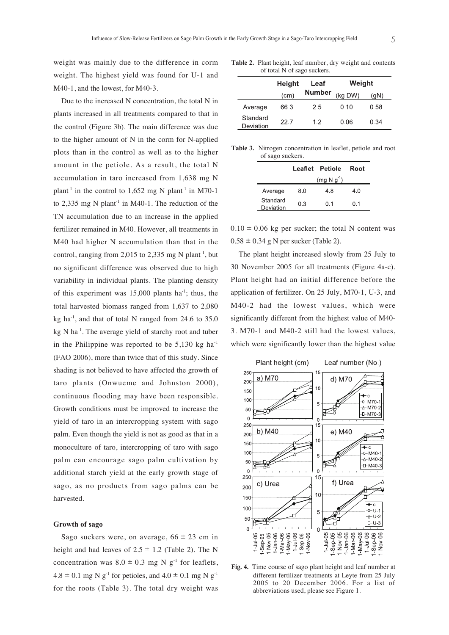weight was mainly due to the difference in corm weight. The highest yield was found for U-1 and M40-1, and the lowest, for M40-3.

Due to the increased N concentration, the total N in plants increased in all treatments compared to that in the control (Figure 3b). The main difference was due to the higher amount of N in the corm for N-applied plots than in the control as well as to the higher amount in the petiole. As a result, the total N accumulation in taro increased from 1,638 mg N plant<sup>-1</sup> in the control to 1,652 mg N plant<sup>-1</sup> in M70-1 to 2,335 mg N plant<sup>-1</sup> in M40-1. The reduction of the TN accumulation due to an increase in the applied fertilizer remained in M40. However, all treatments in M40 had higher N accumulation than that in the control, ranging from 2,015 to 2,335 mg N plant<sup>-1</sup>, but no significant difference was observed due to high variability in individual plants. The planting density of this experiment was  $15,000$  plants ha<sup>-1</sup>; thus, the total harvested biomass ranged from 1,637 to 2,080 kg ha $^{-1}$ , and that of total N ranged from 24.6 to 35.0 kg N ha<sup>-1</sup>. The average yield of starchy root and tuber in the Philippine was reported to be  $5,130$  kg ha<sup>-1</sup> (FAO 2006), more than twice that of this study. Since shading is not believed to have affected the growth of taro plants (Onwueme and Johnston 2000), continuous flooding may have been responsible. Growth conditions must be improved to increase the yield of taro in an intercropping system with sago palm. Even though the yield is not as good as that in a monoculture of taro, intercropping of taro with sago palm can encourage sago palm cultivation by additional starch yield at the early growth stage of sago, as no products from sago palms can be harvested.

### **Growth of sago**

Sago suckers were, on average,  $66 \pm 23$  cm in height and had leaves of  $2.5 \pm 1.2$  (Table 2). The N concentration was  $8.0 \pm 0.3$  mg N g<sup>-1</sup> for leaflets,  $4.8 \pm 0.1$  mg N g<sup>-1</sup> for petioles, and  $4.0 \pm 0.1$  mg N g<sup>-1</sup> for the roots (Table 3). The total dry weight was

**Table 2.** Plant height, leaf number, dry weight and contents of total N of sago suckers.

|                       | <b>Height</b> | Leaf          | Weight  |      |  |
|-----------------------|---------------|---------------|---------|------|--|
|                       | (cm)          | <b>Number</b> | (kg DW) | (gN) |  |
| Average               | 66.3          | 25            | 0.10    | 0.58 |  |
| Standard<br>Deviation | 22.7          | 12            | 0.06    | 0.34 |  |

**Table 3.** Nitrogen concentration in leaflet, petiole and root of sago suckers.

|                       |     | Leaflet Petiole | Root |
|-----------------------|-----|-----------------|------|
|                       |     | (mg N g')       |      |
| Average               | 8.0 | 4.8             | 4.0  |
| Standard<br>Deviation | 0.3 | 0.1             | 0.1  |

 $0.10 \pm 0.06$  kg per sucker; the total N content was  $0.58 \pm 0.34$  g N per sucker (Table 2).

The plant height increased slowly from 25 July to 30 November 2005 for all treatments (Figure 4a-c). Plant height had an initial difference before the application of fertilizer. On 25 July, M70-1, U-3, and M40-2 had the lowest values, which were significantly different from the highest value of M40- 3. M70-1 and M40-2 still had the lowest values, which were significantly lower than the highest value



**Fig. 4.** Time course of sago plant height and leaf number at different fertilizer treatments at Leyte from 25 July 2005 to 20 December 2006. For a list of abbreviations used, please see Figure 1.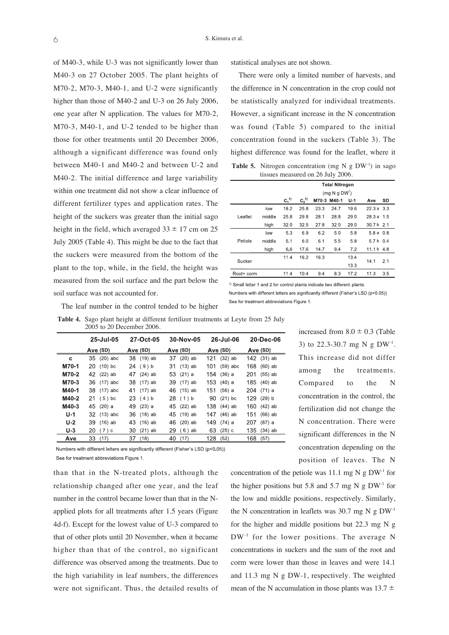of M40-3, while U-3 was not significantly lower than M40-3 on 27 October 2005. The plant heights of M70-2, M70-3, M40-1, and U-2 were significantly higher than those of M40-2 and U-3 on 26 July 2006, one year after N application. The values for M70-2, M70-3, M40-1, and U-2 tended to be higher than those for other treatments until 20 December 2006, although a significant difference was found only between M40-1 and M40-2 and between U-2 and M40-2. The initial difference and large variability within one treatment did not show a clear influence of different fertilizer types and application rates. The height of the suckers was greater than the initial sago height in the field, which averaged  $33 \pm 17$  cm on 25 July 2005 (Table 4). This might be due to the fact that the suckers were measured from the bottom of the plant to the top, while, in the field, the height was measured from the soil surface and the part below the soil surface was not accounted for.

statistical analyses are not shown.

There were only a limited number of harvests, and the difference in N concentration in the crop could not be statistically analyzed for individual treatments. However, a significant increase in the N concentration was found (Table 5) compared to the initial concentration found in the suckers (Table 3). The highest difference was found for the leaflet, where it **Table 5.** Nitrogen concentration (mg N g  $DW<sup>-1</sup>$ ) in sago

tissues measured on 26 July 2006.

|            | <b>Total Nitrogen</b> |                           |               |             |      |       |            |     |
|------------|-----------------------|---------------------------|---------------|-------------|------|-------|------------|-----|
|            |                       | (mq N q DW <sup>1</sup> ) |               |             |      |       |            |     |
|            |                       | $C_1^{(1)}$               | $C_2^{\{1\}}$ | M70-3 M40-1 |      | $U-1$ | Ave        | SD  |
|            | low                   | 18.2                      | 25.8          | 23.3        | 24.7 | 19.6  | 22.3a      | 3.3 |
| Leaflet    | middle                | 25.8                      | 29.8          | 28.1        | 28.8 | 29.0  | 28.3 a     | 1.5 |
|            | high                  | 32.0                      | 32.5          | 27.8        | 32.0 | 29.0  | 30.7 b     | 2.1 |
| Petiole    | low                   | 5.3                       | 6.9           | 6.2         | 5.0  | 5.8   | 5.8 a 0.8  |     |
|            | middle                | 5.1                       | 6.0           | 6.1         | 5.5  | 5.8   | 5.7 b      | 0.4 |
|            | high                  | 66                        | 176           | 14.7        | 94   | 7.2   | 11.1 b 4.8 |     |
| Sucker     |                       | 11.4                      | 16.2          | 16.3        |      | 13.4  |            | 2.1 |
|            |                       |                           |               |             |      | 133   | 14.1       |     |
| Root+ corm |                       | 11.4                      | 10.4          | 9.4         | 8.3  | 17.2  | 11.3       | 3.5 |

<sup>1)</sup> Small letter 1 and 2 for control plants indicate two different plants.

Numbers with different letters are significantly different (Fisher's LSD (p<0.05)) See for treatment abbreviations Figure 1.

The leaf number in the control tended to be higher

**Table 4.** Sago plant height at different fertilizer treatments at Leyte from 25 July 2005 to 20 December 2006.

|       | 25-Jul-05     | 27-Oct-05       | 30-Nov-05       | 26-Jul-06         | 20-Dec-06        |
|-------|---------------|-----------------|-----------------|-------------------|------------------|
|       | Ave (SD)      | Ave (SD)        | Ave (SD)        | Ave (SD)          | Ave (SD)         |
| c     | 35 (20) abc   | 38 (19) ab      | $(20)$ ab<br>37 | $(32)$ ab<br>121  | 142 (31) ab      |
| M70-1 | 20 (10) bc    | 24 (9) b        | 31 (13) ab      | 101<br>$(59)$ abc | 168<br>$(60)$ ab |
| M70-2 | 42 (22) ab    | 47<br>$(24)$ ab | 53 (21) a       | 154<br>$(36)$ a   | 201<br>$(55)$ ab |
| M70-3 | 36 (17) abc   | 38 (17) ab      | 39 (17) ab      | $153(40)$ a       | 185<br>$(40)$ ab |
| M40-1 | 38 (17) abc   | 41 (17) ab      | 46 (15) ab      | 151<br>(56) a     | 204<br>$(71)$ a  |
| M40-2 | $21(5)$ bc    | 23(4) b         | 28(1) b         | 90 (21) bc        | 129<br>$(29)$ b  |
| M40-3 | 45 (20) a     | 49<br>(23) a    | 45 (22) ab      | 138 (44) ab       | 160<br>$(42)$ ab |
| $U-1$ | 32 (13) abc   | (18) ab<br>36   | 45 (19) ab      | $(46)$ ab<br>147  | $(66)$ ab<br>151 |
| $U-2$ | 39 (16) ab    | 43 (16) ab      | 46<br>$(20)$ ab | 149<br>$(74)$ a   | 207<br>(87) a    |
| $U-3$ | 20<br>$(7)$ c | $(21)$ ab<br>30 | 29<br>$(6)$ ab  | 63<br>$(25)$ c    | 135<br>$(34)$ ab |
| Ave   | 33<br>(17)    | 37<br>(18)      | 40<br>(17)      | 128<br>(52)       | 168<br>(57)      |

Numbers with different letters are significantly different (Fisher's LSD (p<0.05)) See for treatment abbreviations Figure 1.

than that in the N-treated plots, although the relationship changed after one year, and the leaf number in the control became lower than that in the Napplied plots for all treatments after 1.5 years (Figure 4d-f). Except for the lowest value of U-3 compared to that of other plots until 20 November, when it became higher than that of the control, no significant difference was observed among the treatments. Due to the high variability in leaf numbers, the differences were not significant. Thus, the detailed results of

increased from  $8.0 \pm 0.3$  (Table 3) to 22.3-30.7 mg N g  $DW<sup>-1</sup>$ . This increase did not differ among the treatments. Compared to the N concentration in the control, the fertilization did not change the N concentration. There were significant differences in the N concentration depending on the position of leaves. The N

concentration of the petiole was 11.1 mg N g  $DW$ <sup>-1</sup> for the higher positions but 5.8 and 5.7 mg N g  $DW<sup>-1</sup>$  for the low and middle positions, respectively. Similarly, the N concentration in leaflets was 30.7 mg N g DW-1 for the higher and middle positions but 22.3 mg N g DW<sup>-1</sup> for the lower positions. The average N concentrations in suckers and the sum of the root and corm were lower than those in leaves and were 14.1 and 11.3 mg N g DW-1, respectively. The weighted mean of the N accumulation in those plants was  $13.7 \pm$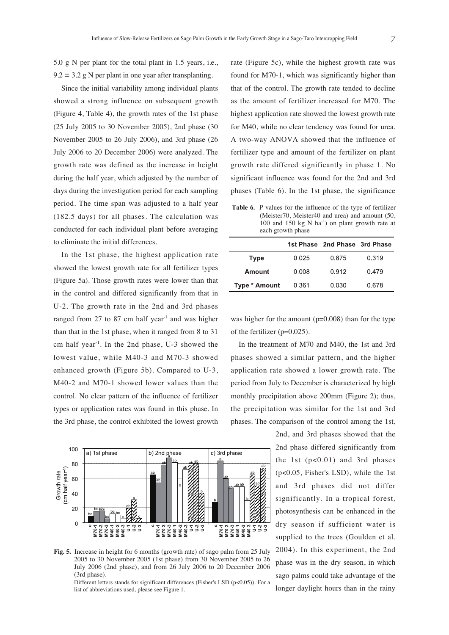5.0 g N per plant for the total plant in 1.5 years, i.e.,  $9.2 \pm 3.2$  g N per plant in one year after transplanting.

Since the initial variability among individual plants showed a strong influence on subsequent growth (Figure 4, Table 4), the growth rates of the 1st phase (25 July 2005 to 30 November 2005), 2nd phase (30 November 2005 to 26 July 2006), and 3rd phase (26 July 2006 to 20 December 2006) were analyzed. The growth rate was defined as the increase in height during the half year, which adjusted by the number of days during the investigation period for each sampling period. The time span was adjusted to a half year (182.5 days) for all phases. The calculation was conducted for each individual plant before averaging to eliminate the initial differences.

In the 1st phase, the highest application rate showed the lowest growth rate for all fertilizer types (Figure 5a). Those growth rates were lower than that in the control and differed significantly from that in U-2. The growth rate in the 2nd and 3rd phases ranged from  $27$  to  $87$  cm half year<sup>-1</sup> and was higher than that in the 1st phase, when it ranged from 8 to 31 cm half year-1. In the 2nd phase, U-3 showed the lowest value, while M40-3 and M70-3 showed enhanced growth (Figure 5b). Compared to U-3, M40-2 and M70-1 showed lower values than the control. No clear pattern of the influence of fertilizer types or application rates was found in this phase. In the 3rd phase, the control exhibited the lowest growth



**Fig. 5.** Increase in height for 6 months (growth rate) of sago palm from 25 July 2005 to 30 November 2005 (1st phase) from 30 November 2005 to 26 July 2006 (2nd phase), and from 26 July 2006 to 20 December 2006 (3rd phase).

Different letters stands for significant differences (Fisher's LSD (p<0.05)). For a list of abbreviations used, please see Figure 1.

rate (Figure 5c), while the highest growth rate was found for M70-1, which was significantly higher than that of the control. The growth rate tended to decline as the amount of fertilizer increased for M70. The highest application rate showed the lowest growth rate for M40, while no clear tendency was found for urea. A two-way ANOVA showed that the influence of fertilizer type and amount of the fertilizer on plant growth rate differed significantly in phase 1. No significant influence was found for the 2nd and 3rd phases (Table 6). In the 1st phase, the significance

**Table 6.** P values for the influence of the type of fertilizer (Meister70, Meister40 and urea) and amount (50, 100 and 150 kg N  $\text{ha}^{-1}$ ) on plant growth rate at each growth phase

|                      |       | 1st Phase 2nd Phase 3rd Phase |       |
|----------------------|-------|-------------------------------|-------|
| <b>Type</b>          | 0.025 | 0.875                         | 0.319 |
| Amount               | 0.008 | 0.912                         | 0.479 |
| <b>Type * Amount</b> | 0.361 | 0.030                         | 0.678 |

was higher for the amount  $(p=0.008)$  than for the type of the fertilizer (p=0.025).

In the treatment of M70 and M40, the 1st and 3rd phases showed a similar pattern, and the higher application rate showed a lower growth rate. The period from July to December is characterized by high monthly precipitation above 200mm (Figure 2); thus, the precipitation was similar for the 1st and 3rd phases. The comparison of the control among the 1st,

> 2nd, and 3rd phases showed that the 2nd phase differed significantly from the 1st  $(p<0.01)$  and 3rd phases (p<0.05, Fisher's LSD), while the 1st and 3rd phases did not differ significantly. In a tropical forest, photosynthesis can be enhanced in the dry season if sufficient water is supplied to the trees (Goulden et al. 2004). In this experiment, the 2nd phase was in the dry season, in which sago palms could take advantage of the longer daylight hours than in the rainy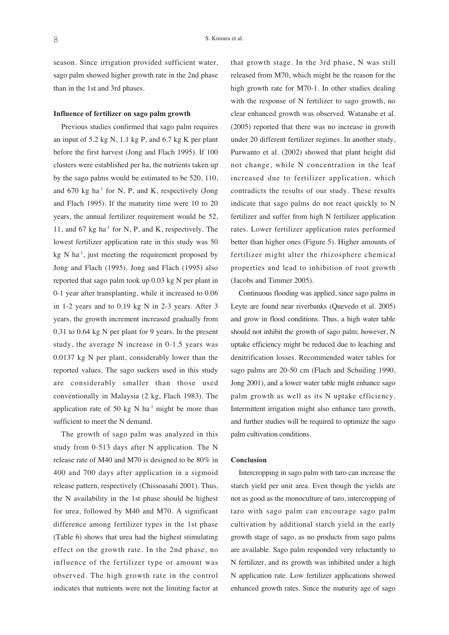season. Since irrigation provided sufficient water, sago palm showed higher growth rate in the 2nd phase than in the 1st and 3rd phases.

### **Influence of fertilizer on sago palm growth**

Previous studies confirmed that sago palm requires an input of 5.2 kg N, 1.1 kg P, and 6.7 kg K per plant before the first harvest (Jong and Flach 1995). If 100 clusters were established per ha, the nutrients taken up by the sago palms would be estimated to be 520, 110, and 670 kg ha<sup>-1</sup> for N, P, and K, respectively (Jong and Flach 1995). If the maturity time were 10 to 20 years, the annual fertilizer requirement would be 52, 11, and 67 kg ha<sup>-1</sup> for N, P, and K, respectively. The lowest fertilizer application rate in this study was 50 kg  $N$  ha<sup>-1</sup>, just meeting the requirement proposed by Jong and Flach (1995). Jong and Flach (1995) also reported that sago palm took up 0.03 kg N per plant in 0-1 year after transplanting, while it increased to 0.06 in 1-2 years and to 0.19 kg N in 2-3 years. After 3 years, the growth increment increased gradually from 0.31 to 0.64 kg N per plant for 9 years. In the present study, the average N increase in 0-1.5 years was 0.0137 kg N per plant, considerably lower than the reported values. The sago suckers used in this study are considerably smaller than those used conventionally in Malaysia (2 kg, Flach 1983). The application rate of 50 kg N  $ha^{-1}$  might be more than sufficient to meet the N demand.

The growth of sago palm was analyzed in this study from 0-513 days after N application. The N release rate of M40 and M70 is designed to be 80% in 400 and 700 days after application in a sigmoid release pattern, respectively (Chissoasahi 2001). Thus, the N availability in the 1st phase should be highest for urea, followed by M40 and M70. A significant difference among fertilizer types in the 1st phase (Table 6) shows that urea had the highest stimulating effect on the growth rate. In the 2nd phase, no influence of the fertilizer type or amount was observed. The high growth rate in the control indicates that nutrients were not the limiting factor at that growth stage. In the 3rd phase, N was still released from M70, which might be the reason for the high growth rate for M70-1. In other studies dealing with the response of N fertilizer to sago growth, no clear enhanced growth was observed. Watanabe et al. (2005) reported that there was no increase in growth under 20 different fertilizer regimes. In another study, Purwanto et al. (2002) showed that plant height did not change, while N concentration in the leaf increased due to fertilizer application, which contradicts the results of our study. These results indicate that sago palms do not react quickly to N fertilizer and suffer from high N fertilizer application rates. Lower fertilizer application rates performed better than higher ones (Figure 5). Higher amounts of fertilizer might alter the rhizosphere chemical properties and lead to inhibition of root growth (Jacobs and Timmer 2005).

Continuous flooding was applied, since sago palms in Leyte are found near riverbanks (Quevedo et al. 2005) and grow in flood conditions. Thus, a high water table should not inhibit the growth of sago palm; however, N uptake efficiency might be reduced due to leaching and denitrification losses. Recommended water tables for sago palms are 20-50 cm (Flach and Schuiling 1990, Jong 2001), and a lower water table might enhance sago palm growth as well as its N uptake efficiency. Intermittent irrigation might also enhance taro growth, and further studies will be required to optimize the sago palm cultivation conditions.

### **Conclusion**

Intercropping in sago palm with taro can increase the starch yield per unit area. Even though the yields are not as good as the monoculture of taro, intercropping of taro with sago palm can encourage sago palm cultivation by additional starch yield in the early growth stage of sago, as no products from sago palms are available. Sago palm responded very reluctantly to N fertilizer, and its growth was inhibited under a high N application rate. Low fertilizer applications showed enhanced growth rates. Since the maturity age of sago